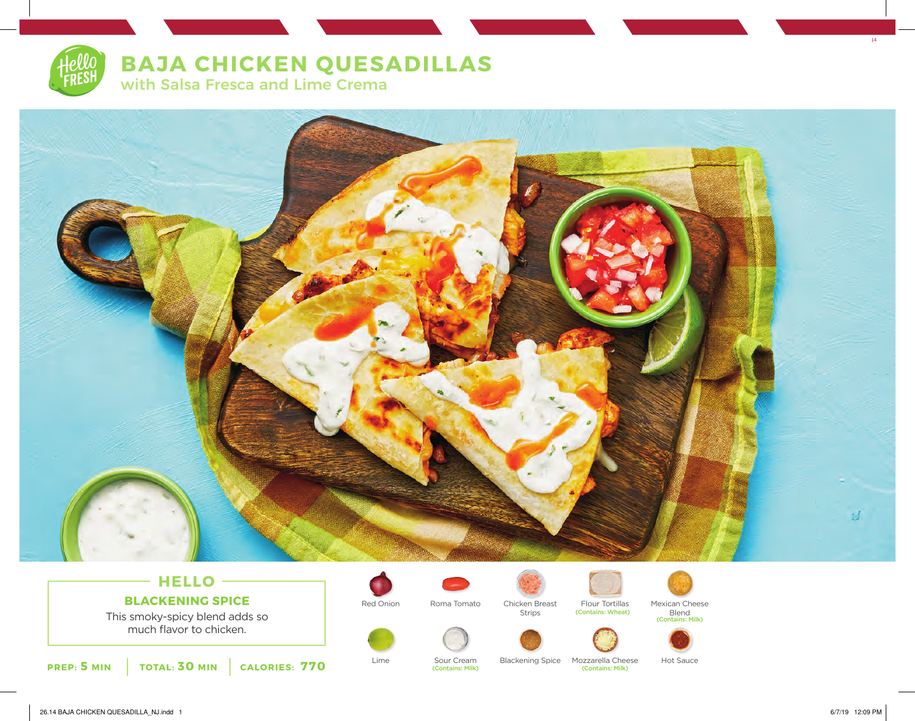

with Salsa Fresca and Lime Crema



# **HELLO BLACKENING SPICE**

This smoky-spicy blend adds so much flavor to chicken.







(Contains: Wheat)

(Contains: Milk) (Contains: Milk)





Lime Sour Cream Blackening Spice Mozzarella Cheese Hot Sauce<br>
(Contains: Milk) (Contains: Milk)

14